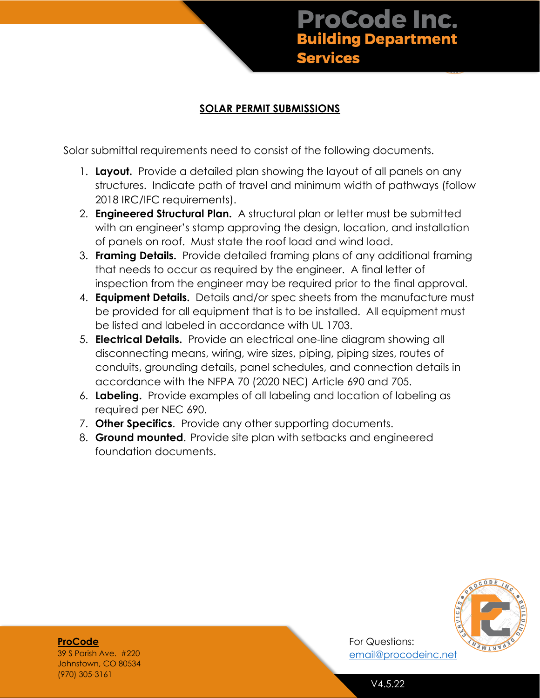# ProCode Inc. **Building Department Services**

### **SOLAR PERMIT SUBMISSIONS**

Solar submittal requirements need to consist of the following documents.

- 1. **Layout.** Provide a detailed plan showing the layout of all panels on any structures. Indicate path of travel and minimum width of pathways (follow 2018 IRC/IFC requirements).
- 2. **Engineered Structural Plan.** A structural plan or letter must be submitted with an engineer's stamp approving the design, location, and installation of panels on roof. Must state the roof load and wind load.
- 3. **Framing Details.** Provide detailed framing plans of any additional framing that needs to occur as required by the engineer. A final letter of inspection from the engineer may be required prior to the final approval.
- 4. **Equipment Details.** Details and/or spec sheets from the manufacture must be provided for all equipment that is to be installed. All equipment must be listed and labeled in accordance with UL 1703.
- 5. **Electrical Details.** Provide an electrical one-line diagram showing all disconnecting means, wiring, wire sizes, piping, piping sizes, routes of conduits, grounding details, panel schedules, and connection details in accordance with the NFPA 70 (2020 NEC) Article 690 and 705.
- 6. **Labeling.** Provide examples of all labeling and location of labeling as required per NEC 690.
- 7. **Other Specifics**. Provide any other supporting documents.
- 8. **Ground mounted**. Provide site plan with setbacks and engineered foundation documents.



#### **ProCode**

 Johnstown, CO 80534 39 S Parish Ave. #220 (970) 305-3161

V4.5.22

For Questions: